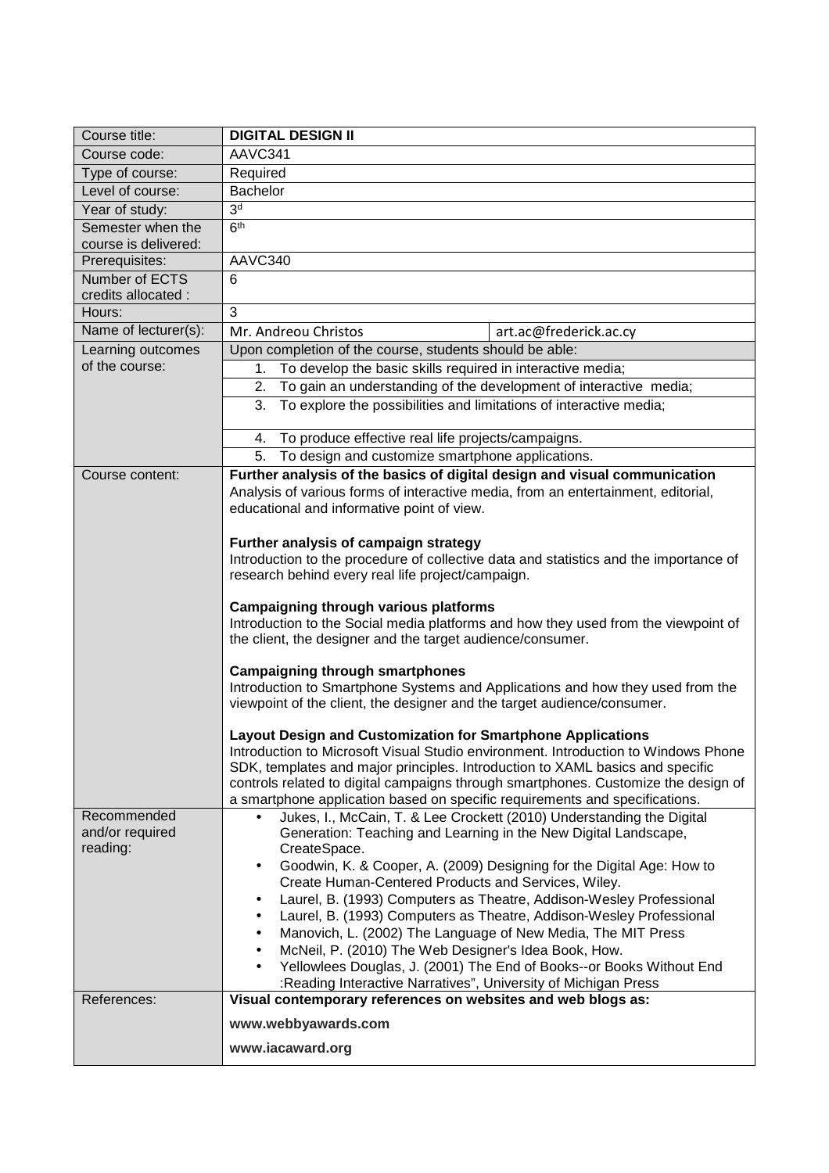| Course title:               | <b>DIGITAL DESIGN II</b>                                                                                                                         |
|-----------------------------|--------------------------------------------------------------------------------------------------------------------------------------------------|
| Course code:                | AAVC341                                                                                                                                          |
| Type of course:             | Required                                                                                                                                         |
| Level of course:            | Bachelor                                                                                                                                         |
| Year of study:              | 3 <sup>d</sup>                                                                                                                                   |
| Semester when the           | 6 <sup>th</sup>                                                                                                                                  |
| course is delivered:        |                                                                                                                                                  |
| Prerequisites:              | AAVC340                                                                                                                                          |
| Number of ECTS              | 6                                                                                                                                                |
| credits allocated :         |                                                                                                                                                  |
| Hours:                      | 3                                                                                                                                                |
| Name of lecturer(s):        | Mr. Andreou Christos<br>art.ac@frederick.ac.cy                                                                                                   |
| Learning outcomes           | Upon completion of the course, students should be able:                                                                                          |
| of the course:              | To develop the basic skills required in interactive media;<br>1.                                                                                 |
|                             | To gain an understanding of the development of interactive media;<br>2.                                                                          |
|                             | To explore the possibilities and limitations of interactive media;<br>3.                                                                         |
|                             | To produce effective real life projects/campaigns.<br>4.                                                                                         |
|                             | To design and customize smartphone applications.<br>5.                                                                                           |
| Course content:             | Further analysis of the basics of digital design and visual communication                                                                        |
|                             | Analysis of various forms of interactive media, from an entertainment, editorial,                                                                |
|                             | educational and informative point of view.                                                                                                       |
|                             | Further analysis of campaign strategy                                                                                                            |
|                             | Introduction to the procedure of collective data and statistics and the importance of                                                            |
|                             | research behind every real life project/campaign.                                                                                                |
|                             | <b>Campaigning through various platforms</b>                                                                                                     |
|                             | Introduction to the Social media platforms and how they used from the viewpoint of<br>the client, the designer and the target audience/consumer. |
|                             | <b>Campaigning through smartphones</b>                                                                                                           |
|                             | Introduction to Smartphone Systems and Applications and how they used from the                                                                   |
|                             | viewpoint of the client, the designer and the target audience/consumer.                                                                          |
|                             | Layout Design and Customization for Smartphone Applications                                                                                      |
|                             | Introduction to Microsoft Visual Studio environment. Introduction to Windows Phone                                                               |
|                             | SDK, templates and major principles. Introduction to XAML basics and specific                                                                    |
|                             | controls related to digital campaigns through smartphones. Customize the design of                                                               |
|                             | a smartphone application based on specific requirements and specifications.                                                                      |
| Recommended                 | Jukes, I., McCain, T. & Lee Crockett (2010) Understanding the Digital<br>$\bullet$                                                               |
| and/or required<br>reading: | Generation: Teaching and Learning in the New Digital Landscape,                                                                                  |
|                             | CreateSpace.<br>Goodwin, K. & Cooper, A. (2009) Designing for the Digital Age: How to<br>$\bullet$                                               |
|                             | Create Human-Centered Products and Services, Wiley.                                                                                              |
|                             | Laurel, B. (1993) Computers as Theatre, Addison-Wesley Professional<br>$\bullet$                                                                 |
|                             | Laurel, B. (1993) Computers as Theatre, Addison-Wesley Professional<br>$\bullet$                                                                 |
|                             | Manovich, L. (2002) The Language of New Media, The MIT Press<br>$\bullet$                                                                        |
|                             | McNeil, P. (2010) The Web Designer's Idea Book, How.<br>$\bullet$                                                                                |
|                             | Yellowlees Douglas, J. (2001) The End of Books--or Books Without End<br>$\bullet$                                                                |
| References:                 | :Reading Interactive Narratives", University of Michigan Press<br>Visual contemporary references on websites and web blogs as:                   |
|                             | www.webbyawards.com                                                                                                                              |
|                             | www.iacaward.org                                                                                                                                 |
|                             |                                                                                                                                                  |